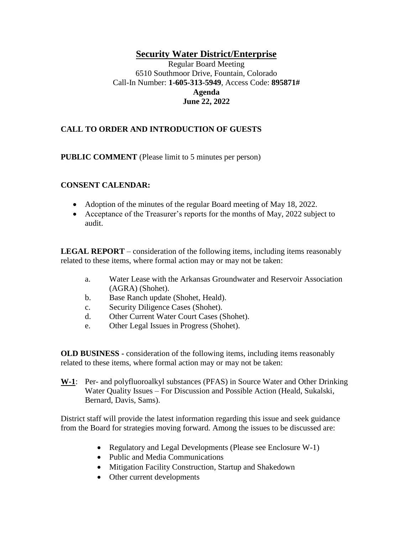## **Security Water District/Enterprise**

Regular Board Meeting 6510 Southmoor Drive, Fountain, Colorado Call-In Number: **1-605-313-5949**, Access Code: **895871# Agenda June 22, 2022**

## **CALL TO ORDER AND INTRODUCTION OF GUESTS**

**PUBLIC COMMENT** (Please limit to 5 minutes per person)

#### **CONSENT CALENDAR:**

- Adoption of the minutes of the regular Board meeting of May 18, 2022.
- Acceptance of the Treasurer's reports for the months of May, 2022 subject to audit.

**LEGAL REPORT** – consideration of the following items, including items reasonably related to these items, where formal action may or may not be taken:

- a. Water Lease with the Arkansas Groundwater and Reservoir Association (AGRA) (Shohet).
- b. Base Ranch update (Shohet, Heald).
- c. Security Diligence Cases (Shohet).
- d. Other Current Water Court Cases (Shohet).
- e. Other Legal Issues in Progress (Shohet).

**OLD BUSINESS -** consideration of the following items, including items reasonably related to these items, where formal action may or may not be taken:

**W-1**: Per- and polyfluoroalkyl substances (PFAS) in Source Water and Other Drinking Water Quality Issues – For Discussion and Possible Action (Heald, Sukalski, Bernard, Davis, Sams).

District staff will provide the latest information regarding this issue and seek guidance from the Board for strategies moving forward. Among the issues to be discussed are:

- Regulatory and Legal Developments (Please see Enclosure W-1)
- Public and Media Communications
- Mitigation Facility Construction, Startup and Shakedown
- Other current developments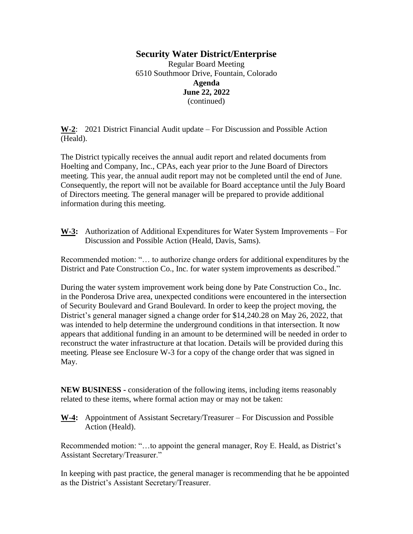#### **Security Water District/Enterprise**

Regular Board Meeting 6510 Southmoor Drive, Fountain, Colorado **Agenda June 22, 2022** (continued)

**W-2**: 2021 District Financial Audit update – For Discussion and Possible Action (Heald).

The District typically receives the annual audit report and related documents from Hoelting and Company, Inc., CPAs, each year prior to the June Board of Directors meeting. This year, the annual audit report may not be completed until the end of June. Consequently, the report will not be available for Board acceptance until the July Board of Directors meeting. The general manager will be prepared to provide additional information during this meeting.

**W-3:** Authorization of Additional Expenditures for Water System Improvements – For Discussion and Possible Action (Heald, Davis, Sams).

Recommended motion: "… to authorize change orders for additional expenditures by the District and Pate Construction Co., Inc. for water system improvements as described."

During the water system improvement work being done by Pate Construction Co., Inc. in the Ponderosa Drive area, unexpected conditions were encountered in the intersection of Security Boulevard and Grand Boulevard. In order to keep the project moving, the District's general manager signed a change order for \$14,240.28 on May 26, 2022, that was intended to help determine the underground conditions in that intersection. It now appears that additional funding in an amount to be determined will be needed in order to reconstruct the water infrastructure at that location. Details will be provided during this meeting. Please see Enclosure W-3 for a copy of the change order that was signed in May.

**NEW BUSINESS -** consideration of the following items, including items reasonably related to these items, where formal action may or may not be taken:

**W-4:** Appointment of Assistant Secretary/Treasurer – For Discussion and Possible Action (Heald).

Recommended motion: "…to appoint the general manager, Roy E. Heald, as District's Assistant Secretary/Treasurer."

In keeping with past practice, the general manager is recommending that he be appointed as the District's Assistant Secretary/Treasurer.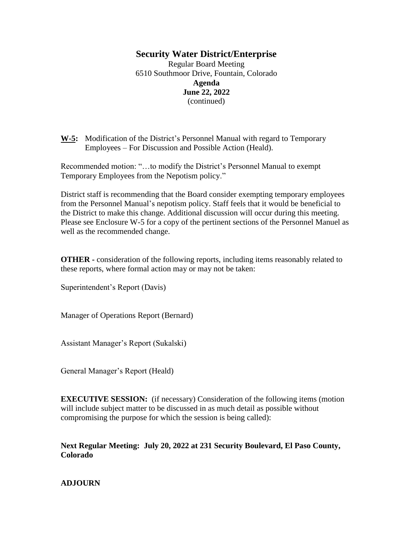#### **Security Water District/Enterprise**

Regular Board Meeting 6510 Southmoor Drive, Fountain, Colorado **Agenda June 22, 2022** (continued)

**W-5:** Modification of the District's Personnel Manual with regard to Temporary Employees – For Discussion and Possible Action (Heald).

Recommended motion: "…to modify the District's Personnel Manual to exempt Temporary Employees from the Nepotism policy."

District staff is recommending that the Board consider exempting temporary employees from the Personnel Manual's nepotism policy. Staff feels that it would be beneficial to the District to make this change. Additional discussion will occur during this meeting. Please see Enclosure W-5 for a copy of the pertinent sections of the Personnel Manuel as well as the recommended change.

**OTHER -** consideration of the following reports, including items reasonably related to these reports, where formal action may or may not be taken:

Superintendent's Report (Davis)

Manager of Operations Report (Bernard)

Assistant Manager's Report (Sukalski)

General Manager's Report (Heald)

**EXECUTIVE SESSION:** (if necessary) Consideration of the following items (motion will include subject matter to be discussed in as much detail as possible without compromising the purpose for which the session is being called):

**Next Regular Meeting: July 20, 2022 at 231 Security Boulevard, El Paso County, Colorado**

#### **ADJOURN**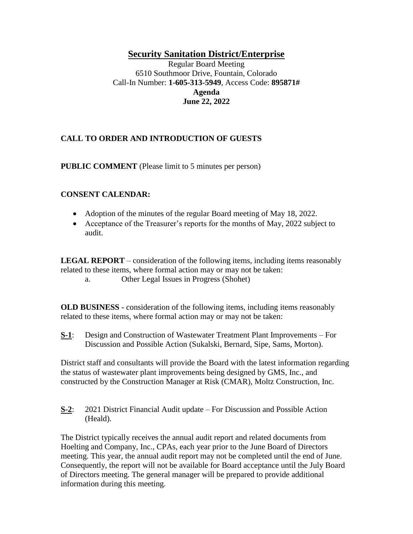## **Security Sanitation District/Enterprise**

Regular Board Meeting 6510 Southmoor Drive, Fountain, Colorado Call-In Number: **1-605-313-5949**, Access Code: **895871# Agenda June 22, 2022**

## **CALL TO ORDER AND INTRODUCTION OF GUESTS**

**PUBLIC COMMENT** (Please limit to 5 minutes per person)

#### **CONSENT CALENDAR:**

- Adoption of the minutes of the regular Board meeting of May 18, 2022.
- Acceptance of the Treasurer's reports for the months of May, 2022 subject to audit.

**LEGAL REPORT** – consideration of the following items, including items reasonably related to these items, where formal action may or may not be taken:

a. Other Legal Issues in Progress (Shohet)

**OLD BUSINESS -** consideration of the following items, including items reasonably related to these items, where formal action may or may not be taken:

**S-1**: Design and Construction of Wastewater Treatment Plant Improvements – For Discussion and Possible Action (Sukalski, Bernard, Sipe, Sams, Morton).

District staff and consultants will provide the Board with the latest information regarding the status of wastewater plant improvements being designed by GMS, Inc., and constructed by the Construction Manager at Risk (CMAR), Moltz Construction, Inc.

**S-2**: 2021 District Financial Audit update – For Discussion and Possible Action (Heald).

The District typically receives the annual audit report and related documents from Hoelting and Company, Inc., CPAs, each year prior to the June Board of Directors meeting. This year, the annual audit report may not be completed until the end of June. Consequently, the report will not be available for Board acceptance until the July Board of Directors meeting. The general manager will be prepared to provide additional information during this meeting.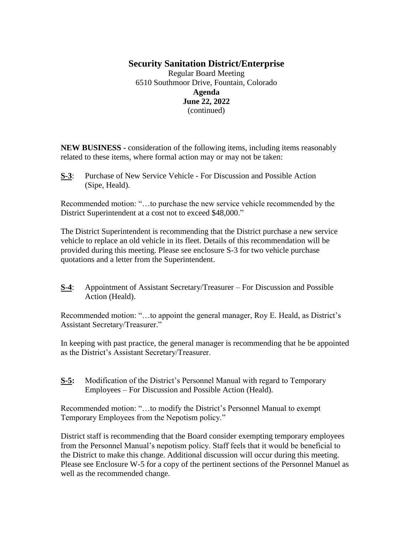# **Security Sanitation District/Enterprise**

Regular Board Meeting 6510 Southmoor Drive, Fountain, Colorado **Agenda June 22, 2022** (continued)

**NEW BUSINESS -** consideration of the following items, including items reasonably related to these items, where formal action may or may not be taken:

**S-3**: Purchase of New Service Vehicle - For Discussion and Possible Action (Sipe, Heald).

Recommended motion: "…to purchase the new service vehicle recommended by the District Superintendent at a cost not to exceed \$48,000."

The District Superintendent is recommending that the District purchase a new service vehicle to replace an old vehicle in its fleet. Details of this recommendation will be provided during this meeting. Please see enclosure S-3 for two vehicle purchase quotations and a letter from the Superintendent.

**S-4**: Appointment of Assistant Secretary/Treasurer – For Discussion and Possible Action (Heald).

Recommended motion: "…to appoint the general manager, Roy E. Heald, as District's Assistant Secretary/Treasurer."

In keeping with past practice, the general manager is recommending that he be appointed as the District's Assistant Secretary/Treasurer.

**S-5:** Modification of the District's Personnel Manual with regard to Temporary Employees – For Discussion and Possible Action (Heald).

Recommended motion: "…to modify the District's Personnel Manual to exempt Temporary Employees from the Nepotism policy."

District staff is recommending that the Board consider exempting temporary employees from the Personnel Manual's nepotism policy. Staff feels that it would be beneficial to the District to make this change. Additional discussion will occur during this meeting. Please see Enclosure W-5 for a copy of the pertinent sections of the Personnel Manuel as well as the recommended change.